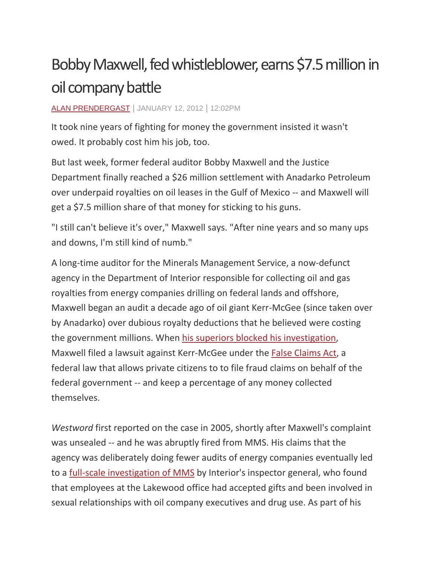## Bobby Maxwell, fed whistleblower, earns \$7.5 million in oil company battle

## ALAN [PRENDERGAST](http://www.westword.com/authors/alan-prendergast-5052731) | JANUARY 12, 2012 | 12:02PM

It took nine years of fighting for money the government insisted it wasn't owed. It probably cost him his job, too.

But last week, former federal auditor Bobby Maxwell and the Justice Department finally reached a \$26 million settlement with Anadarko Petroleum over underpaid royalties on oil leases in the Gulf of Mexico -- and Maxwell will get a \$7.5 million share of that money for sticking to his guns.

"I still can't believe it's over," Maxwell says. "After nine years and so many ups and downs, I'm still kind of numb."

A long-time auditor for the Minerals Management Service, a now-defunct agency in the Department of Interior responsible for collecting oil and gas royalties from energy companies drilling on federal lands and offshore, Maxwell began an audit a decade ago of oil giant Kerr-McGee (since taken over by Anadarko) over dubious royalty deductions that he believed were costing the government millions. When his superiors blocked his [investigation,](http://www.westword.com/2005-09-08/news/duke-of-oil/) Maxwell filed a lawsuit against Kerr-McGee under the False [Claims](http://www.halunenlaw.com/practice-areas/corporate-fraud/false-claims-act/) Act, a federal law that allows private citizens to to file fraud claims on behalf of the federal government -- and keep a percentage of any money collected themselves.

*Westword* first reported on the case in 2005, shortly after Maxwell's complaint was unsealed -- and he was abruptly fired from MMS. His claims that the agency was deliberately doing fewer audits of energy companies eventually led to a full-scale [investigation](http://www.westword.com/2008-09-18/news/crossing-over/) of MMS by Interior's inspector general, who found that employees at the Lakewood office had accepted gifts and been involved in sexual relationships with oil company executives and drug use. As part of his